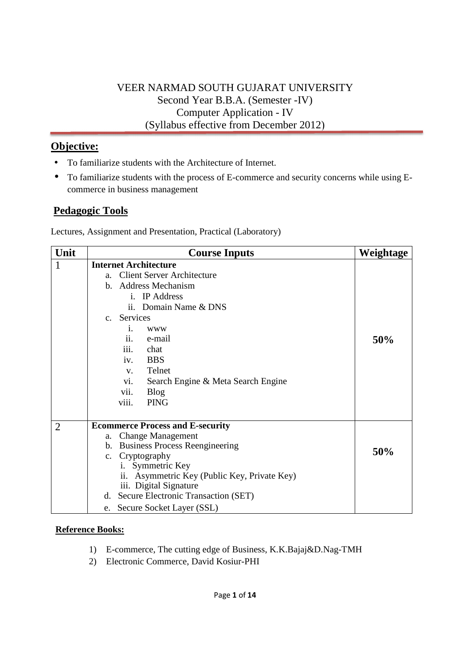## VEER NARMAD SOUTH GUJARAT UNIVERSITY Second Year B.B.A. (Semester -IV) Computer Application - IV (Syllabus effective from December 2012)

# **Objective:**

- To familiarize students with the Architecture of Internet.
- To familiarize students with the process of E-commerce and security concerns while using Ecommerce in business management

# **Pedagogic Tools**

Lectures, Assignment and Presentation, Practical (Laboratory)

| Unit           | <b>Course Inputs</b>                         | Weightage |
|----------------|----------------------------------------------|-----------|
| 1              | <b>Internet Architecture</b>                 |           |
|                | <b>Client Server Architecture</b><br>a.      |           |
|                | b. Address Mechanism                         |           |
|                | i. IP Address                                |           |
|                | ii. Domain Name & DNS                        |           |
|                | c. Services                                  |           |
|                | 1.<br><b>WWW</b>                             |           |
|                | ii.<br>e-mail                                | 50%       |
|                | iii.<br>chat                                 |           |
|                | iv.<br><b>BBS</b>                            |           |
|                | Telnet<br>V.                                 |           |
|                | vi.<br>Search Engine & Meta Search Engine    |           |
|                | vii.<br><b>Blog</b>                          |           |
|                | viii.<br><b>PING</b>                         |           |
|                |                                              |           |
| $\overline{2}$ | <b>Ecommerce Process and E-security</b>      |           |
|                | <b>Change Management</b><br>a.               |           |
|                | <b>Business Process Reengineering</b><br>b.  | 50%       |
|                | c. Cryptography                              |           |
|                | Symmetric Key<br>i.                          |           |
|                | ii. Asymmetric Key (Public Key, Private Key) |           |
|                | iii. Digital Signature                       |           |
|                | d. Secure Electronic Transaction (SET)       |           |
|                | Secure Socket Layer (SSL)<br>e.              |           |

- 1) E-commerce, The cutting edge of Business, K.K.Bajaj&D.Nag-TMH
- 2) Electronic Commerce, David Kosiur-PHI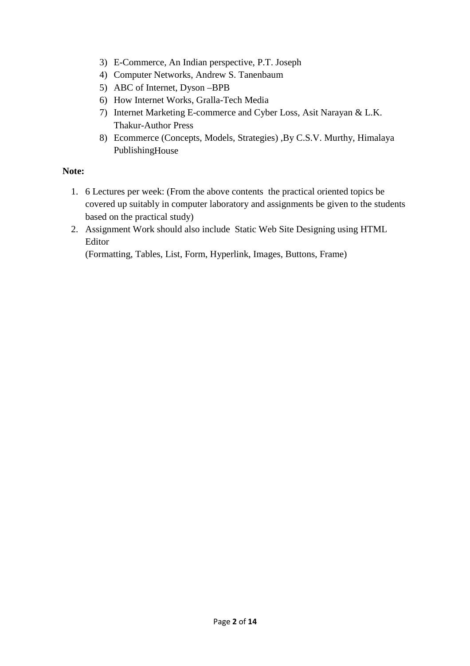- 3) E-Commerce, An Indian perspective, P.T. Joseph
- 4) Computer Networks, Andrew S. Tanenbaum
- 5) ABC of Internet, Dyson –BPB
- 6) How Internet Works, Gralla-Tech Media
- 7) Internet Marketing E-commerce and Cyber Loss, Asit Narayan & L.K. Thakur-Author Press
- 8) Ecommerce (Concepts, Models, Strategies) ,By C.S.V. Murthy, Himalaya PublishingHouse

#### **Note:**

- 1. 6 Lectures per week: (From the above contents the practical oriented topics be covered up suitably in computer laboratory and assignments be given to the students based on the practical study)
- 2. Assignment Work should also include Static Web Site Designing using HTML Editor

(Formatting, Tables, List, Form, Hyperlink, Images, Buttons, Frame)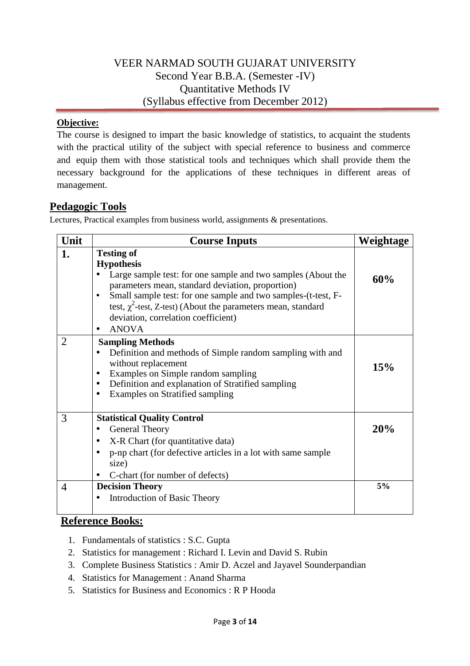### VEER NARMAD SOUTH GUJARAT UNIVERSITY Second Year B.B.A. (Semester -IV) Quantitative Methods IV (Syllabus effective from December 2012)

#### **Objective:**

The course is designed to impart the basic knowledge of statistics, to acquaint the students with the practical utility of the subject with special reference to business and commerce and equip them with those statistical tools and techniques which shall provide them the necessary background for the applications of these techniques in different areas of management.

### **Pedagogic Tools**

Lectures, Practical examples from business world, assignments & presentations.

| Unit                | <b>Course Inputs</b>                                                                                                                                                                                                                                                                                                                                                  | Weightage |
|---------------------|-----------------------------------------------------------------------------------------------------------------------------------------------------------------------------------------------------------------------------------------------------------------------------------------------------------------------------------------------------------------------|-----------|
| 1.                  | <b>Testing of</b><br><b>Hypothesis</b><br>Large sample test: for one sample and two samples (About the<br>parameters mean, standard deviation, proportion)<br>Small sample test: for one sample and two samples-(t-test, F-<br>$\bullet$<br>test, $\chi^2$ -test, Z-test) (About the parameters mean, standard<br>deviation, correlation coefficient)<br><b>ANOVA</b> | 60%       |
| 2                   | <b>Sampling Methods</b><br>Definition and methods of Simple random sampling with and<br>without replacement<br>Examples on Simple random sampling<br>$\bullet$<br>Definition and explanation of Stratified sampling<br>$\bullet$<br><b>Examples on Stratified sampling</b><br>$\bullet$                                                                               | 15%       |
| 3<br>$\overline{4}$ | <b>Statistical Quality Control</b><br>General Theory<br>٠<br>X-R Chart (for quantitative data)<br>$\bullet$<br>p-np chart (for defective articles in a lot with same sample<br>$\bullet$<br>size)<br>C-chart (for number of defects)<br>$\bullet$<br><b>Decision Theory</b>                                                                                           | 20%<br>5% |
|                     | Introduction of Basic Theory<br>$\bullet$                                                                                                                                                                                                                                                                                                                             |           |

- 1. Fundamentals of statistics : S.C. Gupta
- 2. Statistics for management : Richard I. Levin and David S. Rubin
- 3. Complete Business Statistics : Amir D. Aczel and Jayavel Sounderpandian
- 4. Statistics for Management : Anand Sharma
- 5. Statistics for Business and Economics : R P Hooda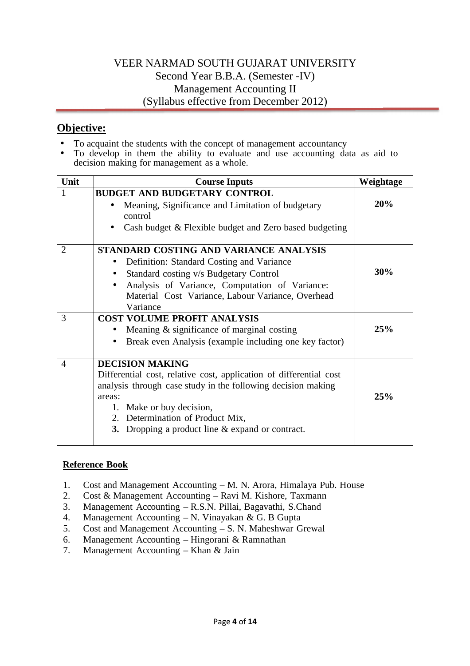## VEER NARMAD SOUTH GUJARAT UNIVERSITY Second Year B.B.A. (Semester -IV) Management Accounting II (Syllabus effective from December 2012)

### **Objective:**

- To acquaint the students with the concept of management accountancy<br>• To develop in them the ability to evaluate and use accounting da
- To develop in them the ability to evaluate and use accounting data as aid to decision making for management as a whole.

| Unit           | <b>Course Inputs</b>                                                | Weightage |  |
|----------------|---------------------------------------------------------------------|-----------|--|
|                | <b>BUDGET AND BUDGETARY CONTROL</b>                                 |           |  |
|                | Meaning, Significance and Limitation of budgetary                   | 20%       |  |
|                | control                                                             |           |  |
|                | Cash budget & Flexible budget and Zero based budgeting<br>$\bullet$ |           |  |
| $\overline{2}$ | STANDARD COSTING AND VARIANCE ANALYSIS                              |           |  |
|                | Definition: Standard Costing and Variance                           |           |  |
|                | Standard costing v/s Budgetary Control                              | 30%       |  |
|                | Analysis of Variance, Computation of Variance:                      |           |  |
|                | Material Cost Variance, Labour Variance, Overhead                   |           |  |
|                | Variance                                                            |           |  |
| 3              | <b>COST VOLUME PROFIT ANALYSIS</b>                                  |           |  |
|                | Meaning $\&$ significance of marginal costing                       | 25%       |  |
|                | Break even Analysis (example including one key factor)<br>$\bullet$ |           |  |
| $\overline{4}$ | <b>DECISION MAKING</b>                                              |           |  |
|                | Differential cost, relative cost, application of differential cost  |           |  |
|                | analysis through case study in the following decision making        |           |  |
|                | areas:                                                              | 25%       |  |
|                | 1. Make or buy decision,                                            |           |  |
|                | 2. Determination of Product Mix,                                    |           |  |
|                | <b>3.</b> Dropping a product line & expand or contract.             |           |  |

- 1. Cost and Management Accounting M. N. Arora, Himalaya Pub. House
- 2. Cost & Management Accounting Ravi M. Kishore, Taxmann
- 3. Management Accounting R.S.N. Pillai, Bagavathi, S.Chand
- 4. Management Accounting N. Vinayakan & G. B Gupta
- 5. Cost and Management Accounting S. N. Maheshwar Grewal
- 6. Management Accounting Hingorani & Ramnathan
- 7. Management Accounting Khan & Jain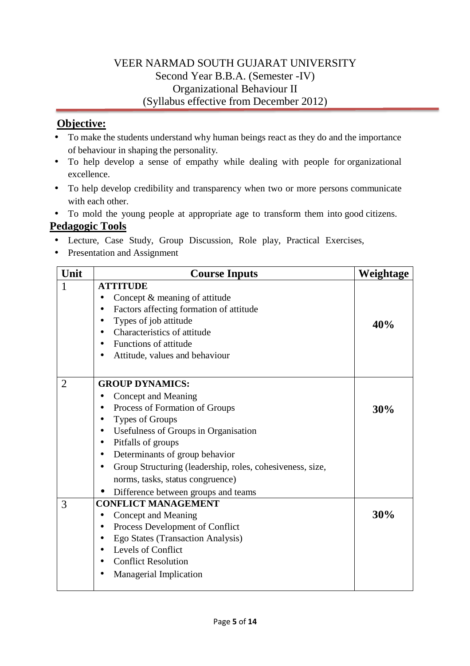## VEER NARMAD SOUTH GUJARAT UNIVERSITY Second Year B.B.A. (Semester -IV) Organizational Behaviour II (Syllabus effective from December 2012)

### **Objective:**

- To make the students understand why human beings react as they do and the importance of behaviour in shaping the personality.
- To help develop a sense of empathy while dealing with people for organizational excellence.
- To help develop credibility and transparency when two or more persons communicate with each other.

• To mold the young people at appropriate age to transform them into good citizens.

## **Pedagogic Tools**

- Lecture, Case Study, Group Discussion, Role play, Practical Exercises,
- Presentation and Assignment

| Unit | <b>Course Inputs</b>                                                   | Weightage |  |  |  |
|------|------------------------------------------------------------------------|-----------|--|--|--|
| 1    | <b>ATTITUDE</b>                                                        |           |  |  |  |
|      | Concept & meaning of attitude<br>$\bullet$                             |           |  |  |  |
|      | Factors affecting formation of attitude<br>$\bullet$                   |           |  |  |  |
|      | Types of job attitude<br>٠                                             | 40%       |  |  |  |
|      | Characteristics of attitude<br>$\bullet$                               |           |  |  |  |
|      | Functions of attitude<br>$\bullet$                                     |           |  |  |  |
|      | Attitude, values and behaviour                                         |           |  |  |  |
|      |                                                                        |           |  |  |  |
| 2    | <b>GROUP DYNAMICS:</b>                                                 |           |  |  |  |
|      | Concept and Meaning                                                    |           |  |  |  |
|      | Process of Formation of Groups                                         | 30%       |  |  |  |
|      | Types of Groups<br>$\bullet$                                           |           |  |  |  |
|      | Usefulness of Groups in Organisation<br>$\bullet$                      |           |  |  |  |
|      | Pitfalls of groups<br>$\bullet$                                        |           |  |  |  |
|      | Determinants of group behavior<br>$\bullet$                            |           |  |  |  |
|      | Group Structuring (leadership, roles, cohesiveness, size,<br>$\bullet$ |           |  |  |  |
|      | norms, tasks, status congruence)                                       |           |  |  |  |
|      | Difference between groups and teams<br>$\bullet$                       |           |  |  |  |
| 3    | <b>CONFLICT MANAGEMENT</b>                                             |           |  |  |  |
|      | Concept and Meaning<br>$\bullet$                                       | 30%       |  |  |  |
|      | Process Development of Conflict<br>$\bullet$                           |           |  |  |  |
|      | Ego States (Transaction Analysis)<br>٠                                 |           |  |  |  |
|      | Levels of Conflict<br>$\bullet$                                        |           |  |  |  |
|      | <b>Conflict Resolution</b><br>٠                                        |           |  |  |  |
|      | Managerial Implication                                                 |           |  |  |  |
|      |                                                                        |           |  |  |  |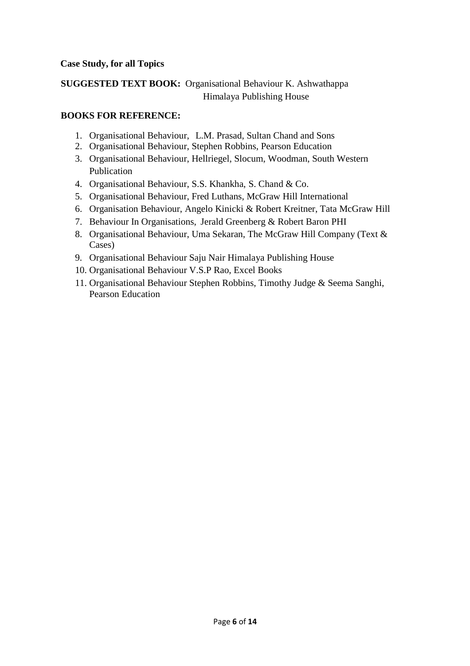#### **Case Study, for all Topics**

### **SUGGESTED TEXT BOOK:** Organisational Behaviour K. Ashwathappa Himalaya Publishing House

#### **BOOKS FOR REFERENCE:**

- 1. Organisational Behaviour, L.M. Prasad, Sultan Chand and Sons
- 2. Organisational Behaviour, Stephen Robbins, Pearson Education
- 3. Organisational Behaviour, Hellriegel, Slocum, Woodman, South Western Publication
- 4. Organisational Behaviour, S.S. Khankha, S. Chand & Co.
- 5. Organisational Behaviour, Fred Luthans, McGraw Hill International
- 6. Organisation Behaviour, Angelo Kinicki & Robert Kreitner, Tata McGraw Hill
- 7. Behaviour In Organisations, Jerald Greenberg & Robert Baron PHI
- 8. Organisational Behaviour, Uma Sekaran, The McGraw Hill Company (Text & Cases)
- 9. Organisational Behaviour Saju Nair Himalaya Publishing House
- 10. Organisational Behaviour V.S.P Rao, Excel Books
- 11. Organisational Behaviour Stephen Robbins, Timothy Judge & Seema Sanghi, Pearson Education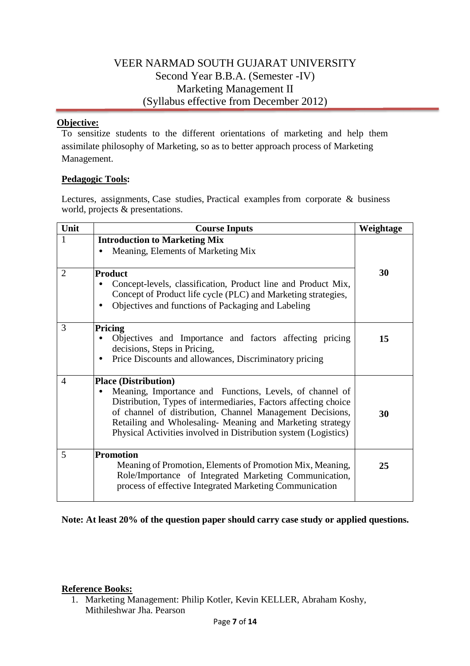### VEER NARMAD SOUTH GUJARAT UNIVERSITY Second Year B.B.A. (Semester -IV) Marketing Management II (Syllabus effective from December 2012)

#### **Objective:**

To sensitize students to the different orientations of marketing and help them assimilate philosophy of Marketing, so as to better approach process of Marketing Management.

#### **Pedagogic Tools:**

Lectures, assignments, Case studies, Practical examples from corporate & business world, projects & presentations.

| Unit           | <b>Course Inputs</b>                                                                                                                                                                                                                                                                                                     | Weightage |
|----------------|--------------------------------------------------------------------------------------------------------------------------------------------------------------------------------------------------------------------------------------------------------------------------------------------------------------------------|-----------|
| $\mathbf{1}$   | <b>Introduction to Marketing Mix</b>                                                                                                                                                                                                                                                                                     |           |
|                | Meaning, Elements of Marketing Mix                                                                                                                                                                                                                                                                                       |           |
|                |                                                                                                                                                                                                                                                                                                                          |           |
| $\overline{2}$ | <b>Product</b>                                                                                                                                                                                                                                                                                                           | 30        |
|                | Concept-levels, classification, Product line and Product Mix,                                                                                                                                                                                                                                                            |           |
|                | Concept of Product life cycle (PLC) and Marketing strategies,                                                                                                                                                                                                                                                            |           |
|                | Objectives and functions of Packaging and Labeling                                                                                                                                                                                                                                                                       |           |
| 3              | Pricing                                                                                                                                                                                                                                                                                                                  |           |
|                | Objectives and Importance and factors affecting pricing                                                                                                                                                                                                                                                                  | 15        |
|                | decisions, Steps in Pricing,                                                                                                                                                                                                                                                                                             |           |
|                | Price Discounts and allowances, Discriminatory pricing                                                                                                                                                                                                                                                                   |           |
| 4              | <b>Place (Distribution)</b>                                                                                                                                                                                                                                                                                              |           |
|                | Meaning, Importance and Functions, Levels, of channel of<br>Distribution, Types of intermediaries, Factors affecting choice<br>of channel of distribution, Channel Management Decisions,<br>Retailing and Wholesaling- Meaning and Marketing strategy<br>Physical Activities involved in Distribution system (Logistics) | 30        |
| 5              | <b>Promotion</b><br>Meaning of Promotion, Elements of Promotion Mix, Meaning,<br>Role/Importance of Integrated Marketing Communication,<br>process of effective Integrated Marketing Communication                                                                                                                       | 25        |

**Note: At least 20% of the question paper should carry case study or applied questions.** 

#### **Reference Books:**

1. Marketing Management: Philip Kotler, Kevin KELLER, Abraham Koshy, Mithileshwar Jha. Pearson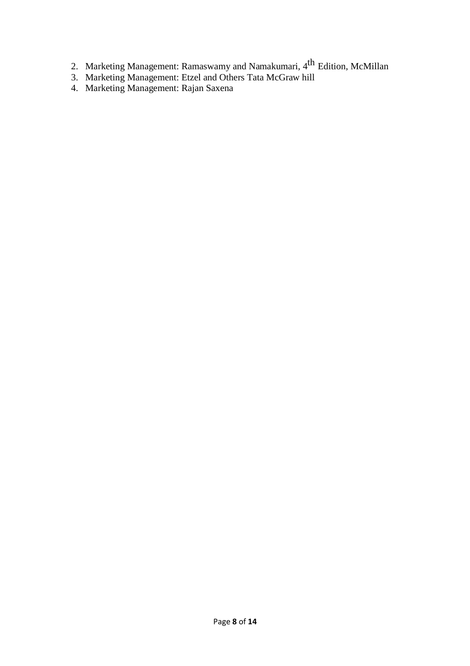- 2. Marketing Management: Ramaswamy and Namakumari, 4<sup>th</sup> Edition, McMillan
- 3. Marketing Management: Etzel and Others Tata McGraw hill
- 4. Marketing Management: Rajan Saxena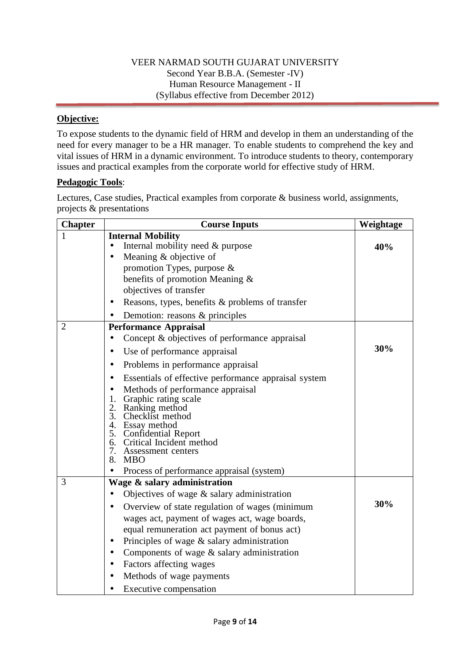### VEER NARMAD SOUTH GUJARAT UNIVERSITY Second Year B.B.A. (Semester -IV) Human Resource Management - II (Syllabus effective from December 2012)

### **Objective:**

To expose students to the dynamic field of HRM and develop in them an understanding of the need for every manager to be a HR manager. To enable students to comprehend the key and vital issues of HRM in a dynamic environment. To introduce students to theory, contemporary issues and practical examples from the corporate world for effective study of HRM.

#### **Pedagogic Tools**:

Lectures, Case studies, Practical examples from corporate & business world, assignments, projects & presentations

| <b>Chapter</b> | <b>Course Inputs</b>                                                                                                                                                                                                                                                                   | Weightage |
|----------------|----------------------------------------------------------------------------------------------------------------------------------------------------------------------------------------------------------------------------------------------------------------------------------------|-----------|
| 1              | <b>Internal Mobility</b>                                                                                                                                                                                                                                                               |           |
|                | Internal mobility need & purpose<br>$\bullet$                                                                                                                                                                                                                                          | 40%       |
|                | Meaning $&$ objective of                                                                                                                                                                                                                                                               |           |
|                | promotion Types, purpose $\&$                                                                                                                                                                                                                                                          |           |
|                | benefits of promotion Meaning &                                                                                                                                                                                                                                                        |           |
|                | objectives of transfer                                                                                                                                                                                                                                                                 |           |
|                | Reasons, types, benefits & problems of transfer<br>$\bullet$                                                                                                                                                                                                                           |           |
|                | Demotion: reasons & principles                                                                                                                                                                                                                                                         |           |
| $\overline{2}$ | <b>Performance Appraisal</b>                                                                                                                                                                                                                                                           |           |
|                | Concept & objectives of performance appraisal                                                                                                                                                                                                                                          |           |
|                | Use of performance appraisal<br>$\bullet$                                                                                                                                                                                                                                              | 30%       |
|                | Problems in performance appraisal<br>$\bullet$                                                                                                                                                                                                                                         |           |
|                | Essentials of effective performance appraisal system                                                                                                                                                                                                                                   |           |
|                | Methods of performance appraisal<br>Graphic rating scale<br>1.<br>2.<br>Ranking method<br>3. Checklist method<br>4. Essay method<br>5. Confidential Report<br>6. Critical Incident method<br>7.<br>Assessment centers<br>8.<br><b>MBO</b><br>Process of performance appraisal (system) |           |
| 3              | Wage & salary administration                                                                                                                                                                                                                                                           |           |
|                | Objectives of wage $\&$ salary administration                                                                                                                                                                                                                                          |           |
|                | Overview of state regulation of wages (minimum                                                                                                                                                                                                                                         | 30%       |
|                | wages act, payment of wages act, wage boards,                                                                                                                                                                                                                                          |           |
|                | equal remuneration act payment of bonus act)                                                                                                                                                                                                                                           |           |
|                | Principles of wage $\&$ salary administration<br>$\bullet$                                                                                                                                                                                                                             |           |
|                | Components of wage & salary administration<br>$\bullet$                                                                                                                                                                                                                                |           |
|                | Factors affecting wages                                                                                                                                                                                                                                                                |           |
|                | Methods of wage payments                                                                                                                                                                                                                                                               |           |
|                | Executive compensation                                                                                                                                                                                                                                                                 |           |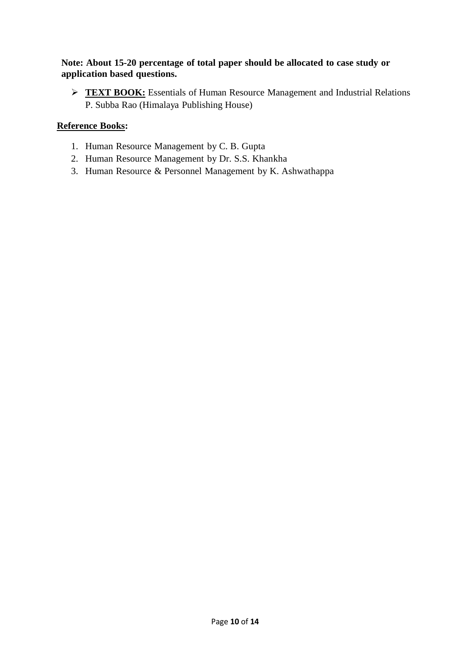### **Note: About 15-20 percentage of total paper should be allocated to case study or application based questions.**

**FEXT BOOK:** Essentials of Human Resource Management and Industrial Relations P. Subba Rao (Himalaya Publishing House)

- 1. Human Resource Management by C. B. Gupta
- 2. Human Resource Management by Dr. S.S. Khankha
- 3. Human Resource & Personnel Management by K. Ashwathappa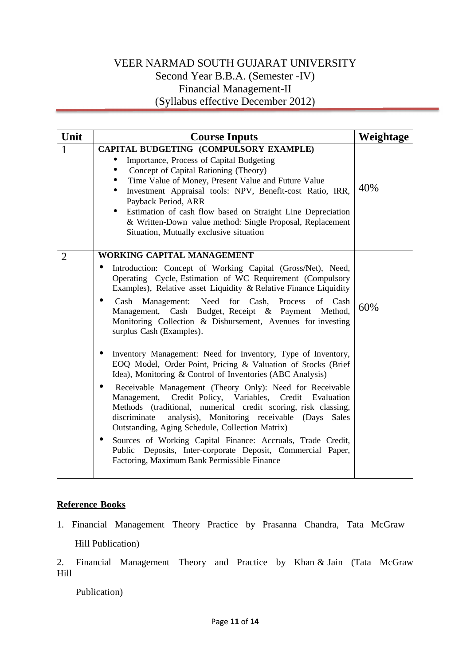## VEER NARMAD SOUTH GUJARAT UNIVERSITY Second Year B.B.A. (Semester -IV) Financial Management-II (Syllabus effective December 2012)

| Unit           | <b>Course Inputs</b>                                                                                                                                                                                                                                                                                                                                                                                                                                                                                                                                                                                                                                                                                  | Weightage |
|----------------|-------------------------------------------------------------------------------------------------------------------------------------------------------------------------------------------------------------------------------------------------------------------------------------------------------------------------------------------------------------------------------------------------------------------------------------------------------------------------------------------------------------------------------------------------------------------------------------------------------------------------------------------------------------------------------------------------------|-----------|
| $\mathbf{1}$   | CAPITAL BUDGETING (COMPULSORY EXAMPLE)<br>Importance, Process of Capital Budgeting<br>Concept of Capital Rationing (Theory)<br>$\bullet$<br>Time Value of Money, Present Value and Future Value<br>$\bullet$<br>Investment Appraisal tools: NPV, Benefit-cost Ratio, IRR,<br>$\bullet$<br>Payback Period, ARR<br>Estimation of cash flow based on Straight Line Depreciation<br>$\bullet$<br>& Written-Down value method: Single Proposal, Replacement<br>Situation, Mutually exclusive situation                                                                                                                                                                                                     | 40%       |
| $\overline{2}$ | <b>WORKING CAPITAL MANAGEMENT</b><br>Introduction: Concept of Working Capital (Gross/Net), Need,<br>Operating Cycle, Estimation of WC Requirement (Compulsory<br>Examples), Relative asset Liquidity & Relative Finance Liquidity<br>Need for Cash, Process<br>Cash Management:<br>of Cash<br>$\bullet$<br>Management, Cash Budget, Receipt & Payment Method,<br>Monitoring Collection & Disbursement, Avenues for investing<br>surplus Cash (Examples).                                                                                                                                                                                                                                              | 60%       |
|                | Inventory Management: Need for Inventory, Type of Inventory,<br>EOQ Model, Order Point, Pricing & Valuation of Stocks (Brief<br>Idea), Monitoring & Control of Inventories (ABC Analysis)<br>Receivable Management (Theory Only): Need for Receivable<br>Credit Policy, Variables,<br>Credit Evaluation<br>Management,<br>Methods (traditional, numerical credit scoring, risk classing,<br>discriminate<br>analysis), Monitoring receivable (Days Sales<br>Outstanding, Aging Schedule, Collection Matrix)<br>Sources of Working Capital Finance: Accruals, Trade Credit,<br>$\bullet$<br>Public Deposits, Inter-corporate Deposit, Commercial Paper,<br>Factoring, Maximum Bank Permissible Finance |           |

#### **Reference Books**

1. Financial Management Theory Practice by Prasanna Chandra, Tata McGraw Hill Publication)

2. Financial Management Theory and Practice by Khan & Jain (Tata McGraw Hill

Publication)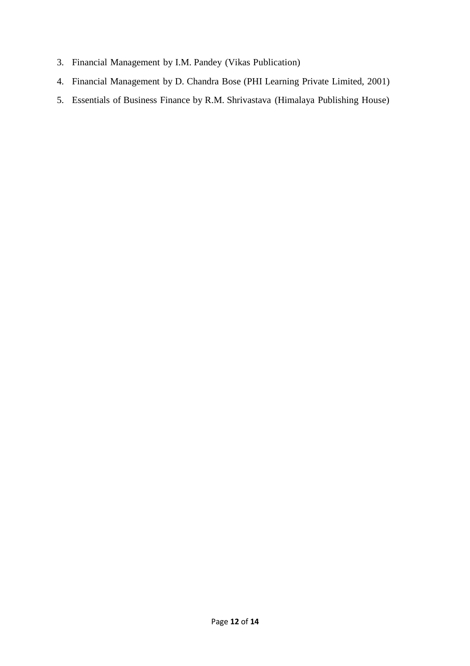- 3. Financial Management by I.M. Pandey (Vikas Publication)
- 4. Financial Management by D. Chandra Bose (PHI Learning Private Limited, 2001)
- 5. Essentials of Business Finance by R.M. Shrivastava (Himalaya Publishing House)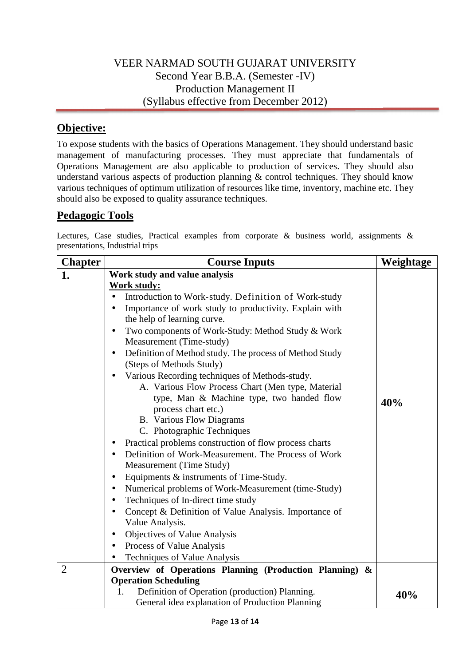## VEER NARMAD SOUTH GUJARAT UNIVERSITY Second Year B.B.A. (Semester -IV) Production Management II (Syllabus effective from December 2012)

# **Objective:**

To expose students with the basics of Operations Management. They should understand basic management of manufacturing processes. They must appreciate that fundamentals of Operations Management are also applicable to production of services. They should also understand various aspects of production planning  $\&$  control techniques. They should know various techniques of optimum utilization of resources like time, inventory, machine etc. They should also be exposed to quality assurance techniques.

### **Pedagogic Tools**

Lectures, Case studies, Practical examples from corporate & business world, assignments & presentations, Industrial trips

| <b>Chapter</b> | <b>Course Inputs</b>                                           | Weightage |
|----------------|----------------------------------------------------------------|-----------|
| 1.             | Work study and value analysis                                  |           |
|                | <b>Work study:</b>                                             |           |
|                | Introduction to Work-study. Definition of Work-study           |           |
|                | Importance of work study to productivity. Explain with         |           |
|                | the help of learning curve.                                    |           |
|                | Two components of Work-Study: Method Study & Work<br>$\bullet$ |           |
|                | Measurement (Time-study)                                       |           |
|                | Definition of Method study. The process of Method Study<br>٠   |           |
|                | (Steps of Methods Study)                                       |           |
|                | Various Recording techniques of Methods-study.                 |           |
|                | A. Various Flow Process Chart (Men type, Material              |           |
|                | type, Man & Machine type, two handed flow                      | 40%       |
|                | process chart etc.)                                            |           |
|                | <b>B.</b> Various Flow Diagrams                                |           |
|                | C. Photographic Techniques                                     |           |
|                | Practical problems construction of flow process charts<br>٠    |           |
|                | Definition of Work-Measurement. The Process of Work            |           |
|                | Measurement (Time Study)                                       |           |
|                | Equipments & instruments of Time-Study.<br>$\bullet$           |           |
|                | Numerical problems of Work-Measurement (time-Study)            |           |
|                | Techniques of In-direct time study<br>$\bullet$                |           |
|                | Concept & Definition of Value Analysis. Importance of          |           |
|                | Value Analysis.                                                |           |
|                | Objectives of Value Analysis<br>$\bullet$                      |           |
|                | Process of Value Analysis                                      |           |
|                | Techniques of Value Analysis                                   |           |
| $\overline{2}$ | Overview of Operations Planning (Production Planning) &        |           |
|                | <b>Operation Scheduling</b>                                    |           |
|                | Definition of Operation (production) Planning.<br>1.           | 40%       |
|                | General idea explanation of Production Planning                |           |